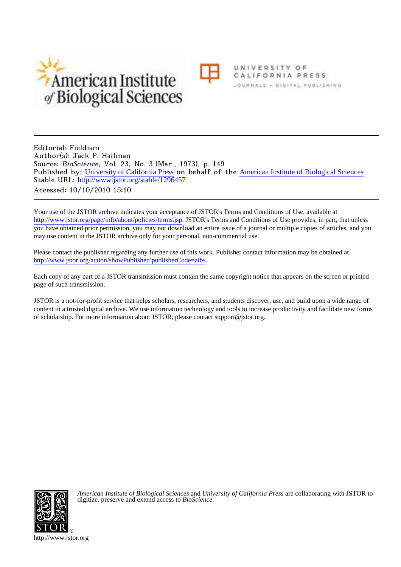



UNIVERSITY OF CALIFORNIA PRESS JOURNALS . DIGITAL PUBLISHING

Editorial: Fieldism Author(s): Jack P. Hailman Source: BioScience, Vol. 23, No. 3 (Mar., 1973), p. 149 Published by: [University of California Press](http://www.jstor.org/action/showPublisher?publisherCode=ucal) on behalf of the [American Institute of Biological Sciences](http://www.jstor.org/action/showPublisher?publisherCode=aibs) Stable URL: [http://www.jstor.org/stable/1296457](http://www.jstor.org/stable/1296457?origin=JSTOR-pdf) Accessed: 10/10/2010 15:10

Your use of the JSTOR archive indicates your acceptance of JSTOR's Terms and Conditions of Use, available at <http://www.jstor.org/page/info/about/policies/terms.jsp>. JSTOR's Terms and Conditions of Use provides, in part, that unless you have obtained prior permission, you may not download an entire issue of a journal or multiple copies of articles, and you may use content in the JSTOR archive only for your personal, non-commercial use.

Please contact the publisher regarding any further use of this work. Publisher contact information may be obtained at <http://www.jstor.org/action/showPublisher?publisherCode=aibs>.

Each copy of any part of a JSTOR transmission must contain the same copyright notice that appears on the screen or printed page of such transmission.

JSTOR is a not-for-profit service that helps scholars, researchers, and students discover, use, and build upon a wide range of content in a trusted digital archive. We use information technology and tools to increase productivity and facilitate new forms of scholarship. For more information about JSTOR, please contact support@jstor.org.



*American Institute of Biological Sciences* and *University of California Press* are collaborating with JSTOR to digitize, preserve and extend access to *BioScience.*